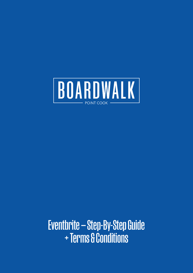

**Eventbrite - Step-By-Step Guide** + Terms & Conditions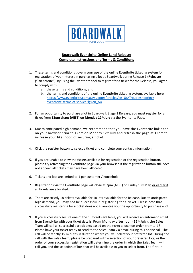

## **Boardwalk Eventbrite Online Land Release: Complete Instructions and Terms & Conditions**

- 1. These terms and conditions govern your use of the online Eventbrite ticketing system for registration of your interest in purchasing a lot at Boardwalk during Release 1 (**Release**) ("**Eventbrite**"). By using the Eventbrite tool to register for a ticket for the Release, you agree to comply with:
	- a. these terms and conditions; and
	- b. the terms and conditions of the online Eventbrite ticketing system, available here [https://www.eventbrite.com.au/support/articles/en\\_US/Troubleshooting/](https://www.eventbrite.com.au/support/articles/en_US/Troubleshooting/eventbrite-terms-of-service?lg=en_AU) [eventbrite-terms-of-service?lg=en\\_AU](https://www.eventbrite.com.au/support/articles/en_US/Troubleshooting/eventbrite-terms-of-service?lg=en_AU)
- 2. For an opportunity to purchase a lot in Boardwalk Stage 1 Release, you must register for a ticket from **12pm sharp (AEST) on Monday 12th July** via the Eventbrite Page.
- 3. Due to anticipated high demand, we recommend that you have the Eventbrite link open on your browser prior to 12pm on Monday 12th July and refresh the page at 12pm to increase your likelihood of securing a ticket.
- 4. Click the register button to select a ticket and complete your contact information.
- 5. If you are unable to view the tickets available for registration or the registration button, please try refreshing the Eventbrite page via your browser. If the registration button still does not appear, all tickets may have been allocated.
- 6. Tickets and lots are limited to 1 per customer / household.
- 7. Registrations via the Eventbrite page will close at 2pm (AEST) on Friday 16<sup>th</sup> May, or earlier if all tickets are allocated.
- 8. There are strictly 18 tickets available for 18 lots available for the Release. Due to anticipated high demand, you may not be successful in registering for a ticket. Please note that successfully registering for a ticket does not guarantee you the opportunity to purchase a lot.
- 9. If you successfully secure one of the 18 tickets available, you will receive an automatic email from Eventbrite with your ticket details. From Monday afternoon (12th July), the Sales Team will call all successful participants based on the ticket allocation order, from 1- 18. Please have your ticket ready to send to the Sales Team via email during this phone call. The call will be strictly 15 minutes in duration where you will select your preferred lot. During the call with the Sales Team, please be prepared with a selection of your preferred lots, as the order of your successful registration will determine the order in which the Sales Team will call you, and the selection of lots that will be available to you to select from. The first in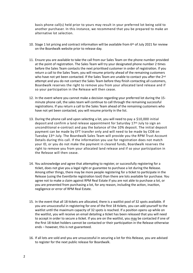basis phone call(s) held prior to yours may result in your preferred lot being sold to another purchaser. In this instance, we recommend that you be prepared to make an alternative lot selection.

- 10. Stage 1 lot pricing and contract information will be available from  $6<sup>th</sup>$  of July 2021 for review on the Boardwalk website prior to release day.
- 11. Ensure you are available to take the call from our Sales Team on the phone number provided at the point of registration. The Sales Team will try your designated phone number 2 times before the Sales Team contacts the next prioritised customer in order of registration. If you return a call to the Sales Team, you will resume priority ahead of the remaining customers who have not yet been contacted. If the Sales Team are unable to contact you after the 2<sup>nd</sup> attempt and you do not contact the Sales Team before they finish contacting all customers, Boardwalk reserves the right to remove you from your allocated land release and if so your participation in the Release will then cease.
- 12. In the event where you cannot make a decision regarding your preferred lot during the 15 minute phone call, the sales team will continue to call through the remaining successful registrations. If you return a call to the Sales Team ahead of the remaining customers who have not yet been contacted, you will resume priority in the list.
- 13. During the phone call and upon selecting a lot, you will need to pay a \$10,000 initial deposit and confirm a land release appointment for Saturday 17th July to sign an unconditional e-contract and pay the balance of the 10% deposit. The initial deposit payment can be made by EFT transfer only and will need to be made by COB on Tuesday 13th July. The Boardwalk Sales Team will provide you the RPM Trust Account Details during this call. If the information you use for registration does not match your ID, or you do not make the payment in cleared funds, Boardwalk reserves the right to remove you from your allocated land release and if so your participation in the Release will then cease.
- 14. You acknowledge and agree that attempting to register, or successfully registering for a ticket, does not give you a legal right or guarantee to purchase a lot during the Release. Among other things, there may be more people registering for a ticket to participate in the Release (using the Eventbrite registration tool) than there are lots available for purchase. You agree not to make a claim against RPM Real Estate if you are not able to purchase a lot, or you are prevented from purchasing a lot, for any reason, including the action, inaction, negligence or error of RPM Real Estate.
- 15. In the event that all 18 tickets are allocated, there is a waitlist pool of 32 spots available. If you are unsuccessful in registering for one of the first 18 tickets, you can add yourself to the waitlist until the maximum capacity of 32 spots is reached. If a position opens up while on the waitlist, you will receive an email detailing a ticket has been released that you will need to accept in order to secure a ticket. If you are on the waitlist, you may be contacted if one of the first 18 ticket holders cannot be contacted or their participation in the Release otherwise ends – however, this is not guaranteed.
- 16. If all lots are sold and you are unsuccessful in securing a lot for this Release, you are advised to register for the next public release for Boardwalk.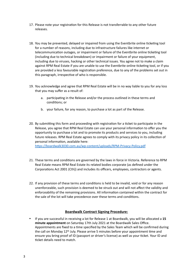- 17. Please note your registration for this Release is not transferrable to any other future releases.
- 18. You may be prevented, delayed or impaired from using the Eventbrite online ticketing tool for a number of reasons, including due to infrastructure failures like internet or telecommunication outages, or impairment or failure of the Eventbrite online ticketing tool (including due to technical breakdown) or impairment or failure of your equipment, including due to viruses, hacking or other technical issues. You agree not to make a claim against RPM Real Estate if you are unable to use the Eventbrite online ticketing tool, or if you are provided a less favourable registration preference, due to any of the problems set out in this paragraph, irrespective of who is responsible.
- 19. You acknowledge and agree that RPM Real Estate will be in no way liable to you for any loss that you may suffer as a result of:
	- a. participating in the Release and/or the process outlined in these terms and conditions; or
	- b. your failure, for any reason, to purchase a lot as part of the Release.
- 20. By submitting this form and proceeding with registration for a ticket to participate in the Release, you agree that RPM Real Estate can use your personal information to offer you the opportunity to purchase a lot and to promote its products and services to you, including future releases. RPM Real Estate agrees to comply with its privacy policy in its collection of personal information, available here:

<https://boardwalk3030.com.au/wp-content/uploads/RPM-Privacy-Policy.pdf>

- 21. These terms and conditions are governed by the laws in force in Victoria. Reference to RPM Real Estate means RPM Real Estate its related bodies corporate (as defined under the Corporations Act 2001 (Cth)) and includes its officers, employees, contractors or agents.
- 22. If any provision of these terms and conditions is held to be invalid, void or for any reason unenforceable, such provision is deemed to be struck out and will not affect the validity and enforceability of the remaining provisions. All information contained within the contract for the sale of the lot will take precedence over these terms and conditions.

## **Boardwalk Contract Signing Procedure:**

• If you are successful in receiving a lot for Release 1 at Boardwalk, you will be allocated a **15 minute appointment** on Saturday 17th July 2021 at the Boardwalk Sales Office. Appointments are fixed to a time specified by the Sales Team which will be confirmed during the call on Monday 12th July. Please arrive 5 minutes before your appointment time and ensure you bring proof of ID (passport or driver's license) as well as your ticket. Your ID and ticket details need to match.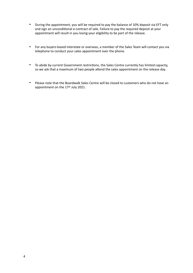- During the appointment, you will be required to pay the balance of 10% deposit via EFT only and sign an unconditional e-contract of sale. Failure to pay the required deposit at your appointment will result in you losing your eligibility to be part of the release.
- For any buyers-based interstate or overseas, a member of the Sales Team will contact you via telephone to conduct your sales appointment over the phone.
- To abide by current Government restrictions, the Sales Centre currently has limited capacity, so we ask that a maximum of two people attend the sales appointment on the release day.
- Please note that the Boardwalk Sales Centre will be closed to customers who do not have an appointment on the 17th July 2021.